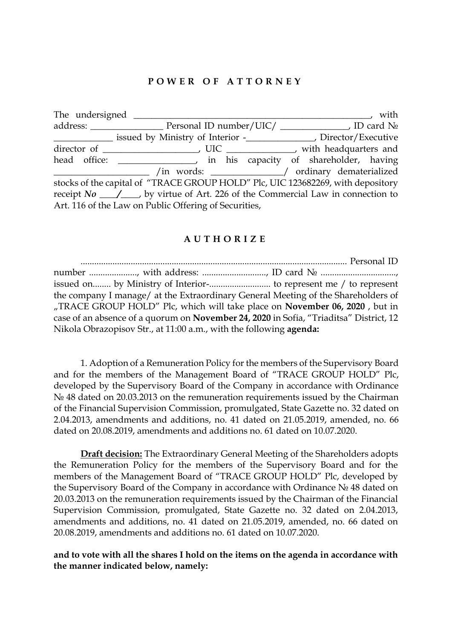## **P O W E R O F A T T O R N E Y**

| The undersigned _                                                               |                                                                                 | with |
|---------------------------------------------------------------------------------|---------------------------------------------------------------------------------|------|
|                                                                                 |                                                                                 |      |
|                                                                                 |                                                                                 |      |
|                                                                                 |                                                                                 |      |
|                                                                                 | head office: ___________________, in his capacity of shareholder, having        |      |
|                                                                                 | /in words: ___________/ ordinary dematerialized                                 |      |
| stocks of the capital of "TRACE GROUP HOLD" Plc, UIC 123682269, with depository |                                                                                 |      |
|                                                                                 | receipt $No \_\_/$ by virtue of Art. 226 of the Commercial Law in connection to |      |
|                                                                                 | Art. 116 of the Law on Public Offering of Securities,                           |      |

## **A U T H O R I Z E**

..................................................................................................................... Personal ID number .................., with address: .........................., ID card  $N<sub>0</sub>$  ............................. issued on........ by Ministry of Interior-........................... to represent me / to represent the company I manage/ at the Extraordinary General Meeting of the Shareholders of "TRACE GROUP HOLD" Plc, which will take place on **November 06, 2020** , but in case of an absence of a quorum on **November 24, 2020** in Sofia, "Triaditsa" District, 12 Nikola Obrazopisov Str., at 11:00 a.m., with the following **agenda:**

1. Adoption of a Remuneration Policy for the members of the Supervisory Board and for the members of the Management Board of "TRACE GROUP HOLD" Plc, developed by the Supervisory Board of the Company in accordance with Ordinance № 48 dated on 20.03.2013 on the remuneration requirements issued by the Chairman of the Financial Supervision Commission, promulgated, State Gazette no. 32 dated on 2.04.2013, amendments and additions, no. 41 dated on 21.05.2019, amended, no. 66 dated on 20.08.2019, amendments and additions no. 61 dated on 10.07.2020.

**Draft decision:** The Extraordinary General Meeting of the Shareholders adopts the Remuneration Policy for the members of the Supervisory Board and for the members of the Management Board of "TRACE GROUP HOLD" Plc, developed by the Supervisory Board of the Company in accordance with Ordinance № 48 dated on 20.03.2013 on the remuneration requirements issued by the Chairman of the Financial Supervision Commission, promulgated, State Gazette no. 32 dated on 2.04.2013, amendments and additions, no. 41 dated on 21.05.2019, amended, no. 66 dated on 20.08.2019, amendments and additions no. 61 dated on 10.07.2020.

**and to vote with all the shares I hold on the items on the agenda in accordance with the manner indicated below, namely:**